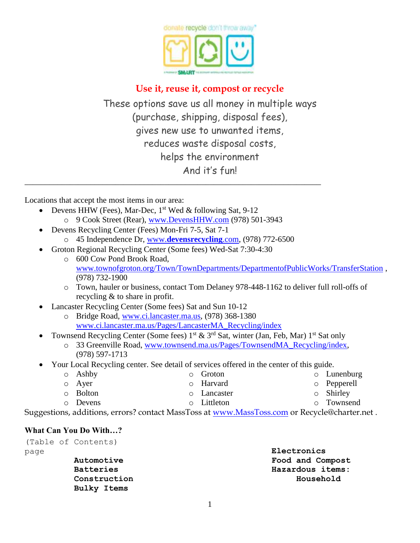

# **Use it, reuse it, compost or recycle**

These options save us all money in multiple ways (purchase, shipping, disposal fees), gives new use to unwanted items, reduces waste disposal costs, helps the environment And it's fun!

Locations that accept the most items in our area:

- Devens HHW (Fees), Mar-Dec,  $1<sup>st</sup>$  Wed & following Sat, 9-12
	- o 9 Cook Street (Rear), [www.DevensHHW.com](http://www.devenshhw.com/) (978) 501-3943

\_\_\_\_\_\_\_\_\_\_\_\_\_\_\_\_\_\_\_\_\_\_\_\_\_\_\_\_\_\_\_\_\_\_\_\_\_\_\_\_\_\_\_\_\_\_\_\_\_\_\_\_\_\_\_\_\_\_\_\_\_\_\_\_\_\_\_\_\_\_\_\_

- Devens Recycling Center (Fees) Mon-Fri 7-5, Sat 7-1
	- o 45 Independence Dr, www.**[devensrecycling](http://www.devensrecycling.com/)**.com, (978) 772-6500
- Groton Regional Recycling Center (Some fees) Wed-Sat 7:30-4:30
	- o 600 Cow Pond Brook Road, [www.townofgroton.org/Town/TownDepartments/DepartmentofPublicWorks/TransferStation](http://www.townofgroton.org/Town/TownDepartments/DepartmentofPublicWorks/TransferStation.aspx) , (978) 732-1900
	- o Town, hauler or business, contact Tom Delaney 978-448-1162 to deliver full roll-offs of recycling & to share in profit.
- Lancaster Recycling Center (Some fees) Sat and Sun 10-12
	- o Bridge Road, [www.ci.lancaster.ma.us,](http://www.ci.lancaster.ma.us/) (978) 368-1380 [www.ci.lancaster.ma.us/Pages/LancasterMA\\_Recycling/index](http://www.ci.lancaster.ma.us/Pages/LancasterMA_Recycling/index)
- Townsend Recycling Center (Some fees)  $1^{st}$  &  $3^{rd}$  Sat, winter (Jan, Feb, Mar)  $1^{st}$  Sat only
	- o 33 Greenville Road, [www.townsend.ma.us/Pages/TownsendMA\\_Recycling/index,](http://townsend.ma.us/Pages/TownsendMA_Recycling/index) (978) 597-1713
- Your Local Recycling center. See detail of services offered in the center of this guide.

| $\circ$ Ashby   | <b>O</b> Groton    | $\circ$ Lunenburg |
|-----------------|--------------------|-------------------|
| $\circ$ Ayer    | <b>O</b> Harvard   | o Pepperell       |
| <b>O</b> Bolton | <b>O</b> Lancaster | $\circ$ Shirley   |
| o Devens        | o Littleton        | o Townsend        |

Suggestions, additions, errors? contact MassToss at [www.MassToss.com](http://www.masstoss.com/) or Recycle@charter.net.

#### **What Can You Do With…?**

|      | (Table of Contents) |                  |
|------|---------------------|------------------|
| page |                     | Electronics      |
|      | Automotive          | Food and Compost |
|      | <b>Batteries</b>    | Hazardous items: |
|      | Construction        | Household        |
|      | Bulky Items         |                  |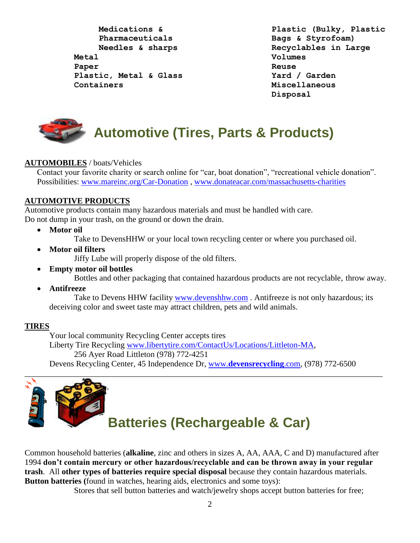**Medications & Pharmaceuticals Needles & sharps Metal Paper Plastic, Metal & Glass Containers**

**Plastic (Bulky, Plastic Bags & Styrofoam) Recyclables in Large Volumes Reuse Yard / Garden Miscellaneous Disposal**



#### **AUTOMOBILES** / boats/Vehicles

Contact your favorite charity or search online for "car, boat donation", "recreational vehicle donation". Possibilities: [www.mareinc.org/Car-Donation](http://www.mareinc.org/Car-Donation) , [www.donateacar.com/massachusetts-charities](http://www.donateacar.com/massachusetts-charities)

#### **AUTOMOTIVE PRODUCTS**

Automotive products contain many hazardous materials and must be handled with care. Do not dump in your trash, on the ground or down the drain.

**Motor oil** 

Take to DevensHHW or your local town recycling center or where you purchased oil.

**Motor oil filters** 

Jiffy Lube will properly dispose of the old filters.

**Empty motor oil bottles**

Bottles and other packaging that contained hazardous products are not recyclable, throw away.

**Antifreeze**

Take to Devens HHW facility [www.devenshhw.com](http://www.devenshhw.com/). Antifreeze is not only hazardous; its deceiving color and sweet taste may attract children, pets and wild animals.

#### **TIRES**

Your local community Recycling Center accepts tires Liberty Tire Recycling [www.libertytire.com/ContactUs/Locations/Littleton-MA,](http://www.libertytire.com/ContactUs/Locations/Littleton-MA.aspx) 256 Ayer Road Littleton (978) 772-4251 Devens Recycling Center, 45 Independence Dr, www.**[devensrecycling](http://www.devensrecycling.com/)**.com, (978) 772-6500 \_\_\_\_\_\_\_\_\_\_\_\_\_\_\_\_\_\_\_\_\_\_\_\_\_\_\_\_\_\_\_\_\_\_\_\_\_\_\_\_\_\_\_\_\_\_\_\_\_\_\_\_\_\_\_\_\_\_\_\_\_\_\_\_\_\_\_\_\_\_\_\_\_\_\_\_\_\_\_\_\_\_\_\_\_\_\_



# **Batteries (Rechargeable & Car)**

Common household batteries (**alkaline**, zinc and others in sizes A, AA, AAA, C and D) manufactured after 1994 **don't contain mercury or other hazardous/recyclable and can be thrown away in your regular trash**. All **other types of batteries require special disposal** because they contain hazardous materials. **Button batteries (**found in watches, hearing aids, electronics and some toys):

Stores that sell button batteries and watch/jewelry shops accept button batteries for free;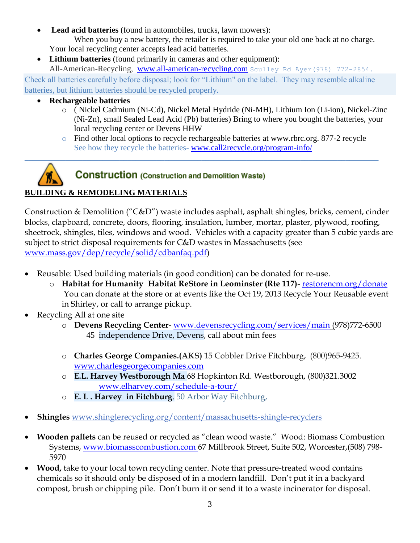- **Lead acid batteries** (found in automobiles, trucks, lawn mowers): When you buy a new battery, the retailer is required to take your old one back at no charge. Your local recycling center accepts lead acid batteries.
- **Lithium batteries** (found primarily in cameras and other equipment):

All-American-Recycling, [www.all-american-recycling.com](http://www.all-american-recycling.com/) Sculley Rd Ayer(978) 772-2854.

Check all batteries carefully before disposal; look for "Lithium" on the label. They may resemble alkaline batteries, but lithium batteries should be recycled properly.

\_\_\_\_\_\_\_\_\_\_\_\_\_\_\_\_\_\_\_\_\_\_\_\_\_\_\_\_\_\_\_\_\_\_\_\_\_\_\_\_\_\_\_\_\_\_\_\_\_\_\_\_\_\_\_\_\_\_\_\_\_\_\_\_\_\_\_\_\_\_\_\_\_\_\_\_\_\_\_\_\_\_\_\_\_\_

#### **Rechargeable batteries**

- o ( Nickel Cadmium (Ni-Cd), Nickel Metal Hydride (Ni-MH), Lithium Ion (Li-ion), Nickel-Zinc (Ni-Zn), small Sealed Lead Acid (Pb) batteries) Bring to where you bought the batteries, your local recycling center or Devens HHW
- o Find other local options to recycle rechargeable batteries at [www.rbrc.org.](http://www.rbrc.org/) 877-2 recycle See how they recycle the batteries- [www.call2recycle.org/program-info/](http://www.call2recycle.org/program-info/)



# **BUILDING & REMODELING MATERIALS**

Construction & Demolition ("C&D") waste includes asphalt, asphalt shingles, bricks, cement, cinder blocks, clapboard, concrete, doors, flooring, insulation, lumber, mortar, plaster, plywood, roofing, sheetrock, shingles, tiles, windows and wood. Vehicles with a capacity greater than 5 cubic yards are subject to strict disposal requirements for C&D wastes in Massachusetts (see [www.mass.gov/dep/recycle/solid/cdbanfaq.pdf\)](file:///C:/Users/Contessa/AppData/Local/Microsoft/Windows/Temporary%20Internet%20Files/OLK6BEF/www.mass.gov/dep/recycle/solid/cdbanfaq.pdf)

- Reusable: Used building materials (in good condition) can be donated for re-use.
	- o **Habitat for Humanity Habitat ReStore in Leominster (Rte 117)** [restorencm.org/donate](http://restorencm.org/donate)  You can donate at the store or at events like the Oct 19, 2013 Recycle Your Reusable event in Shirley, or call to arrange pickup.
- Recycling All at one site
	- o **Devens Recycling Center** [www.devensrecycling.com/services/main](http://www.devensrecycling.com/services/main.htm) (978)772-6500 45 independence Drive, Devens, call about min fees
	- o **Charles George Companies.(AKS)** 15 Cobbler Drive Fitchburg, (800)965-9425. [www.charlesgeorgecompanies.com](http://www.charlesgeorgecompanies.com/)
	- o **E.L. Harvey Westborough Ma** 68 Hopkinton Rd. Westborough, (800)321.3002 [www.elharvey.com/schedule-a-tour/](http://www.elharvey.com/schedule-a-tour/)
	- o **E. L . Harvey in Fitchburg**. 50 Arbor Way Fitchburg,
- **Shingles** [www.shinglerecycling.org/content/massachusetts-shingle-recyclers](http://www.shinglerecycling.org/content/massachusetts-shingle-recyclers)
- **Wooden pallets** can be reused or recycled as "clean wood waste." Wood: Biomass Combustion Systems, [www.biomasscombustion.com](http://www.biomasscombustion.com/) 67 Millbrook Street, Suite 502, Worcester,(508) 798- 5970
- **Wood,** take to your local town recycling center. Note that pressure-treated wood contains chemicals so it should only be disposed of in a modern landfill. Don't put it in a backyard compost, brush or chipping pile. Don't burn it or send it to a waste incinerator for disposal.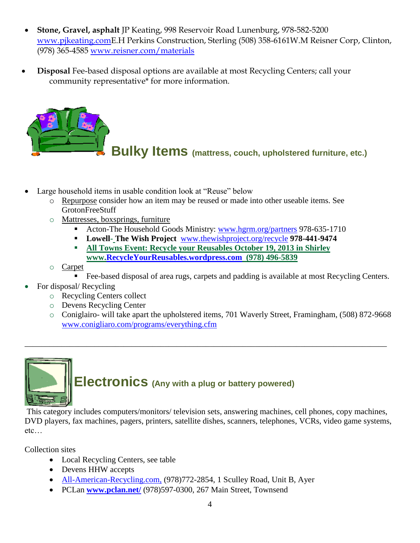- **Stone, Gravel, asphalt** JP Keating, 998 Reservoir Road Lunenburg, 978-582-5200 [www.pjkeating.comE](http://www.pjkeating.com/).H Perkins Construction, Sterling (508) 358-6161W.M Reisner Corp, Clinton, (978) 365-4585 [www.reisner.com/materials](http://www.reisner.com/materials)
- **Disposal** Fee-based disposal options are available at most Recycling Centers; call your community representative\* for more information.



- Large household items in usable condition look at "Reuse" below
	- o Repurpose consider how an item may be reused or made into other useable items. See GrotonFreeStuff
	- o Mattresses, boxsprings, furniture
		- Acton-The Household Goods Ministry: [www.hgrm.org/partners](http://www.hgrm.org/partners.htm) 978-635-1710
		- **Lowell- The Wish Project** [www.thewishproject.org/recycle](http://www.thewishproject.org/recycle) **978-441-9474**
		- **All Towns Event: Recycle your Reusables October 19, 2013 in Shirley www[.RecycleYourReusables.wordpress.com](http://recycleyourreusables.wordpress.com/) (978) 496-5839**
	- o Carpet
		- Fee-based disposal of area rugs, carpets and padding is available at most Recycling Centers.
- For disposal/ Recycling
	- o Recycling Centers collect
	- o Devens Recycling Center
	- o Coniglairo- will take apart the upholstered items, 701 Waverly Street, Framingham, (508) 872-9668 [www.conigliaro.com/programs/everything.cfm](http://www.conigliaro.com/programs/everything.cfm)



This category includes computers/monitors/ television sets, answering machines, cell phones, copy machines, DVD players, fax machines, pagers, printers, satellite dishes, scanners, telephones, VCRs, video game systems, etc…

\_\_\_\_\_\_\_\_\_\_\_\_\_\_\_\_\_\_\_\_\_\_\_\_\_\_\_\_\_\_\_\_\_\_\_\_\_\_\_\_\_\_\_\_\_\_\_\_\_\_\_\_\_\_\_\_\_\_\_\_\_\_\_\_\_\_\_\_\_\_\_\_\_\_\_\_\_\_\_\_\_\_\_\_\_\_\_\_

Collection sites

- Local Recycling Centers, see table
- Devens HHW accepts
- [All-American-Recycling.com,](http://all-american-recycling.com/) (978)772-2854, 1 Sculley Road, Unit B, Ayer
- PCLan **[www.pclan.net/](http://pclan.net/)** (978)597-0300, 267 Main Street, Townsend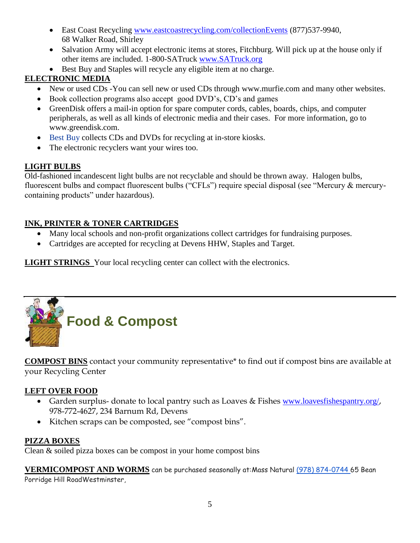- East Coast Recycling [www.eastcoastrecycling.com/collectionEvents](http://www.eastcoastrecycling.com/collectionEvents.html) (877)537-9940, 68 Walker Road, Shirley
- Salvation Army will accept electronic items at stores, Fitchburg. Will pick up at the house only if other items are included. 1-800-SATruck [www.SATruck.org](http://www.satruck.org/)
- Best Buy and Staples will recycle any eligible item at no charge.

# **ELECTRONIC MEDIA**

- New or used CDs -You can sell new or used CDs through [www.murfie.com](http://www.murfie.com/) and many other websites.
- Book collection programs also accept good DVD's, CD's and games
- [GreenDisk](http://www.greendisk.com/) offers a mail-in option for spare computer cords, cables, boards, chips, and computer peripherals, as well as all kinds of electronic media and their cases. For more information, go to [www.greendisk.com.](http://www.greendisk.com/)
- [Best Buy](http://earth911.com/blog/2009/12/17/best-buys-recycling-program-is-expensive-but-worth-it/) collects CDs and DVDs for recycling at in-store kiosks.
- The electronic recyclers want your wires too.

# **LIGHT BULBS**

Old-fashioned incandescent light bulbs are not recyclable and should be thrown away. Halogen bulbs, fluorescent bulbs and compact fluorescent bulbs ("CFLs") require special disposal (see "Mercury & mercurycontaining products" under hazardous).

# **INK, PRINTER & TONER CARTRIDGES**

- Many local schools and non-profit organizations collect cartridges for fundraising purposes.
- Cartridges are accepted for recycling at Devens HHW, Staples and Target.

**LIGHT STRINGS** Your local recycling center can collect with the electronics.



**COMPOST BINS** contact your community representative\* to find out if compost bins are available at your Recycling Center

# **LEFT OVER FOOD**

- Garden surplus- donate to local pantry such as Loaves & Fishes [www.loavesfishespantry.org/](http://www.loavesfishespantry.org/) 978-772-4627, 234 Barnum Rd, Devens
- Kitchen scraps can be composted, see "compost bins".

# **PIZZA BOXES**

Clean & soiled pizza boxes can be compost in your home compost bins

**VERMICOMPOST AND WORMS** can be purchased seasonally at:Mass Natural [\(978\) 874-0744](tel:%28978%29%20874-0744) 65 Bean Porridge Hill RoadWestminster,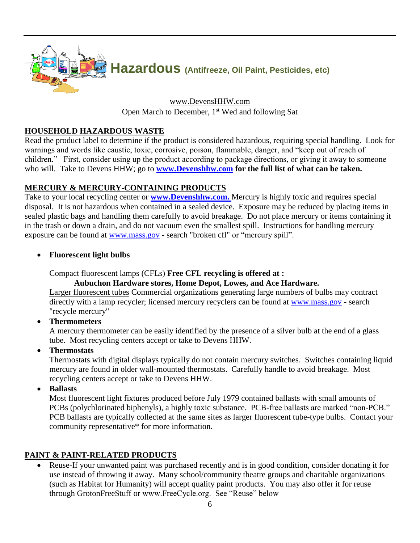

[www.DevensHHW.com](http://www.devenshhw.com/) Open March to December, 1<sup>st</sup> Wed and following Sat

#### **HOUSEHOLD HAZARDOUS WASTE**

Read the product label to determine if the product is considered hazardous, requiring special handling. Look for warnings and words like caustic, toxic, corrosive, poison, flammable, danger, and "keep out of reach of children." First, consider using up the product according to package directions, or giving it away to someone who will. Take to Devens HHW; go to **[www.Devenshhw.com](http://www.devenshhw.com/)** for the full list of what can be taken.

#### **MERCURY & MERCURY-CONTAINING PRODUCTS**

Take to your local recycling center or **[www.Devenshhw.com.](http://www.devenshhw.com/)** [Mercury](http://www.franklincountywastedistrict.org/mercury.html) is highly toxic and requires special disposal. It is not hazardous when contained in a sealed device. Exposure may be reduced by placing items in sealed plastic bags and handling them carefully to avoid breakage. Do not place mercury or items containing it in the trash or down a drain, and do not vacuum even the smallest spill. Instructions for handling mercury exposure can be found at [www.mass.gov](http://www.mass.gov/) - search "broken cfl" or "mercury spill".

#### **Fluorescent light bulbs**

Compact fluorescent lamps (CFLs) **Free CFL recycling is offered at :** 

# **Aubuchon Hardware stores, Home Depot, Lowes, and Ace Hardware.**

Larger fluorescent tubes Commercial organizations generating large numbers of bulbs may contract directly with a lamp recycler; licensed mercury recyclers can be found at [www.mass.gov](http://www.mass.gov/) - search "recycle mercury"

**Thermometers**

A mercury thermometer can be easily identified by the presence of a silver bulb at the end of a glass tube. Most recycling centers accept or take to Devens HHW.

**Thermostats** 

Thermostats with digital displays typically do not contain mercury switches. Switches containing liquid mercury are found in older wall-mounted thermostats. Carefully handle to avoid breakage. Most recycling centers accept or take to Devens HHW.

**Ballasts** 

Most fluorescent light fixtures produced before July 1979 contained ballasts with small amounts of PCBs (polychlorinated biphenyls), a highly toxic substance. PCB-free ballasts are marked "non-PCB." PCB ballasts are typically collected at the same sites as larger fluorescent tube-type bulbs. Contact your community representative\* for more information.

#### **PAINT & PAINT-RELATED PRODUCTS**

 Reuse-If your unwanted paint was purchased recently and is in good condition, consider donating it for use instead of throwing it away. Many school/community theatre groups and charitable organizations (such as Habitat for Humanity) will accept quality paint products. You may also offer it for reuse through GrotonFreeStuff or www.FreeCycle.org. See "Reuse" below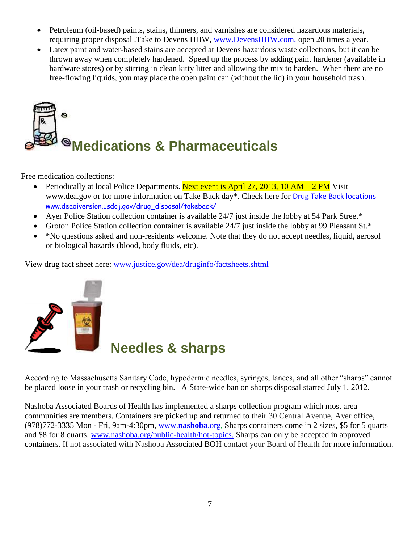- Petroleum (oil-based) paints, stains, thinners, and varnishes are considered hazardous materials, requiring proper disposal .Take to Devens HHW, [www.DevensHHW.com,](http://www.devenshhw.com/) open 20 times a year.
- Latex paint and water-based stains are accepted at Devens hazardous waste collections, but it can be thrown away when completely hardened. Speed up the process by adding paint hardener (available in hardware stores) or by stirring in clean kitty litter and allowing the mix to harden. When there are no free-flowing liquids, you may place the open paint can (without the lid) in your household trash.



Free medication collections:

- Periodically at local Police Departments. Next event is April 27, 2013, 10 AM 2 PM Visit [www.dea.gov](http://www.deadiversion.usdoj.gov/drug_disposal/takeback/index.html) or for more information on Take Back day\*. Check here for [Drug Take Back locations](http://www.deadiversion.usdoj.gov/drug_disposal/takeback/index.html) [www.deadiversion.usdoj.gov/drug\\_disposal/takeback/](http://www.deadiversion.usdoj.gov/drug_disposal/takeback/)
- Ayer Police Station collection container is available 24/7 just inside the lobby at 54 Park Street\*
- Groton Police Station collection container is available 24/7 just inside the lobby at 99 Pleasant St.\*
- \*No questions asked and non-residents welcome. Note that they do not accept needles, liquid, aerosol or biological hazards (blood, body fluids, etc).

View drug fact sheet here: [www.justice.gov/dea/druginfo/factsheets.shtml](http://www.justice.gov/dea/druginfo/factsheets.shtml)



.

# **Needles & sharps**

According to Massachusetts Sanitary Code, hypodermic needles, syringes, lances, and all other "sharps" cannot be placed loose in your trash or recycling bin. A State-wide ban on sharps disposal started July 1, 2012.

Nashoba Associated Boards of Health has implemented a sharps collection program which most area communities are members. Containers are picked up and returned to their 30 Central Avenue, Ayer office, (978)772-3335 Mon - Fri, 9am-4:30pm, www.**[nashoba](http://www.nashoba.org/)**.org, Sharps containers come in 2 sizes, \$5 for 5 quarts and \$8 for 8 quarts. [www.nashoba.org/public-health/hot-topics.](http://www.nashoba.org/public-health/hot-topics) Sharps can only be accepted in approved containers. If not associated with Nashoba Associated BOH contact your Board of Health for more information.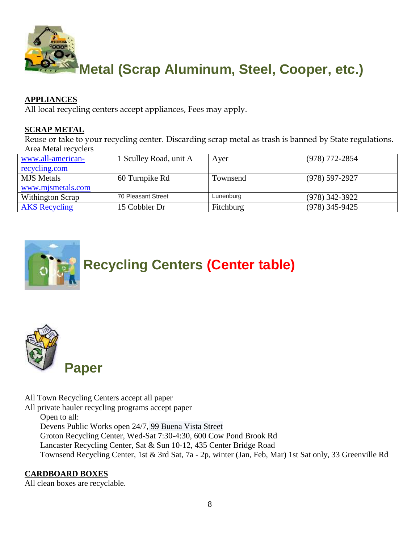

#### **APPLIANCES**

All local recycling centers accept appliances, Fees may apply.

#### **SCRAP METAL**

Reuse or take to your recycling center. Discarding scrap metal as trash is banned by State regulations. Area Metal recyclers

| www.all-american-    | 1 Sculley Road, unit A | Aver      | (978) 772-2854   |
|----------------------|------------------------|-----------|------------------|
| <u>recycling.com</u> |                        |           |                  |
| <b>MJS</b> Metals    | 60 Turnpike Rd         | Townsend  | (978) 597-2927   |
| www.mjsmetals.com    |                        |           |                  |
| Withington Scrap     | 70 Pleasant Street     | Lunenburg | $(978)$ 342-3922 |
| <b>AKS</b> Recycling | 15 Cobbler Dr          | Fitchburg | $(978)$ 345-9425 |





All Town Recycling Centers accept all paper

All private hauler recycling programs accept paper

Open to all:

Devens Public Works open 24/7, 99 Buena Vista Street

Groton Recycling Center, Wed-Sat 7:30-4:30, 600 Cow Pond Brook Rd

Lancaster Recycling Center, Sat & Sun 10-12, 435 Center Bridge Road

Townsend Recycling Center, 1st & 3rd Sat, 7a - 2p, winter (Jan, Feb, Mar) 1st Sat only, 33 Greenville Rd

#### **CARDBOARD BOXES**

All clean boxes are recyclable.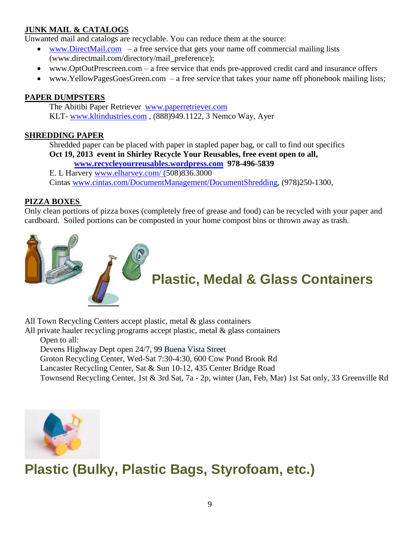# **JUNK MAIL & CATALOGS**

Unwanted mail and catalogs are recyclable. You can reduce them at the source:

- [www.DirectMail.com](http://www.directmail.com/)  a free service that gets your name off commercial mailing lists (www.directmail.com/directory/mail\_preference);
- www[.OptOutPrescreen.com](http://www.idealbite.com/wannatry/0111opt) a free service that ends pre-approved credit card and insurance offers
- www[.YellowPagesGoesGreen.](http://www.idealbite.com/wannatry/1121yellow)com a free service that takes your name off phonebook mailing lists;

#### **PAPER DUMPSTERS**

The Abitibi Paper Retriever [www.paperretriever.com](http://www.paperretriever.com/) KLT- [www.kltindustries.com](http://www.kltindustries.com/) , (888)949.1122, 3 Nemco Way, Ayer

#### **SHREDDING PAPER**

Shredded paper can be placed with paper in stapled paper bag, or call to find out specifics **Oct 19, 2013 event in Shirley Recycle Your Reusables, free event open to all,** 

**[www.recycleyourreusables.wordpress.com](http://www.recycleyourreusables.wordpress.com/) 978-496-5839**

E. L Harvery [www.elharvey.com/](http://www.elharvey.com/) (508)836.3000 Cintas [www.cintas.com/DocumentManagement/DocumentShredding,](http://www.cintas.com/DocumentManagement/DocumentShredding.aspx) (978)250-1300,

#### **PIZZA BOXES**

Only clean portions of pizza boxes (completely free of grease and food) can be recycled with your paper and cardboard. Soiled portions can be composted in your home compost bins or thrown away as trash.



All Town Recycling Centers accept plastic, metal & glass containers

All private hauler recycling programs accept plastic, metal & glass containers Open to all:

Devens Highway Dept open 24/7, 99 Buena Vista Street

Groton Recycling Center, Wed-Sat 7:30-4:30, 600 Cow Pond Brook Rd

Lancaster Recycling Center, Sat & Sun 10-12, 435 Center Bridge Road

Townsend Recycling Center, 1st & 3rd Sat, 7a - 2p, winter (Jan, Feb, Mar) 1st Sat only, 33 Greenville Rd



# **Plastic (Bulky, Plastic Bags, Styrofoam, etc.)**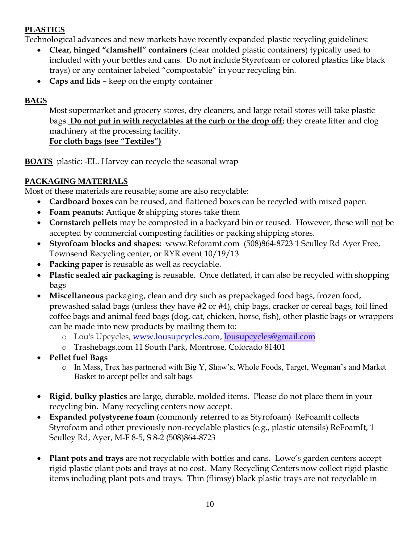# **PLASTICS**

Technological advances and new markets have recently expanded plastic recycling guidelines:

- **Clear, hinged "clamshell" containers** (clear molded plastic containers) typically used to included with your bottles and cans. Do not include Styrofoam or colored plastics like black trays) or any container labeled "compostable" in your recycling bin.
- **Caps and lids** keep on the empty container

# **BAGS**

Most supermarket and grocery stores, dry cleaners, and large retail stores will take plastic bags. **Do not put in with recyclables at the curb or the drop off**; they create litter and clog machinery at the processing facility. **For cloth bags (see "Textiles")**

**BOATS** plastic: -EL. Harvey can recycle the seasonal wrap

# **PACKAGING MATERIALS**

Most of these materials are reusable; some are also recyclable:

- **Cardboard boxes** can be reused, and flattened boxes can be recycled with mixed paper.
- **Foam peanuts:** Antique & shipping stores take them
- **Cornstarch pellets** may be composted in a backyard bin or reused. However, these will not be accepted by commercial composting facilities or packing shipping stores.
- **Styrofoam blocks and shapes:** www.Reforamt.com (508)864-8723 1 Sculley Rd Ayer Free, Townsend Recycling center, or RYR event 10/19/13
- **Packing paper** is reusable as well as recyclable.
- **Plastic sealed air packaging** is reusable. Once deflated, it can also be recycled with shopping bags
- **Miscellaneous** packaging, clean and dry such as prepackaged food bags, frozen food, prewashed salad bags (unless they have #2 or #4), chip bags, cracker or cereal bags, foil lined coffee bags and animal feed bags (dog, cat, chicken, horse, fish), other plastic bags or wrappers can be made into new products by mailing them to:
	- o Lou's Upcycles, [www.lousupcycles.com,](http://www.lousupcycles.com/) [lousupcycles@gmail.com](mailto:lousupcycles@gmail.com)
	- o Trashebags.com 11 South Park, Montrose, Colorado 81401
- **Pellet fuel Bags**
	- o In Mass, Trex has partnered with Big Y, Shaw's, Whole Foods, Target, Wegman's and Market Basket to accept pellet and salt bags
- **Rigid, bulky plastics** are large, durable, molded items. Please do not place them in your recycling bin. Many recycling centers now accept.
- **Expanded polystyrene foam** (commonly referred to as Styrofoam) ReFoamIt collects Styrofoam and other previously non-recyclable plastics (e.g., plastic utensils) ReFoamIt, 1 Sculley Rd, Ayer, M-F 8-5, S 8-2 (508)864-8723
- **Plant pots and trays** are not recyclable with bottles and cans.Lowe's garden centers accept rigid plastic plant pots and trays at no cost. Many Recycling Centers now collect rigid plastic items including plant pots and trays. Thin (flimsy) black plastic trays are not recyclable in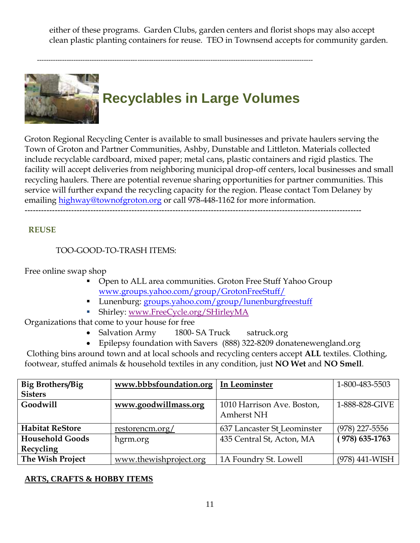either of these programs. Garden Clubs, garden centers and florist shops may also accept clean plastic planting containers for reuse. TEO in Townsend accepts for community garden.



-------------------------------------------------------------------------------------------------------------------------

Groton Regional Recycling Center is available to small businesses and private haulers serving the Town of Groton and Partner Communities, Ashby, Dunstable and Littleton. Materials collected include recyclable cardboard, mixed paper; metal cans, plastic containers and rigid plastics. The facility will accept deliveries from neighboring municipal drop-off centers, local businesses and small recycling haulers. There are potential revenue sharing opportunities for partner communities. This service will further expand the recycling capacity for the region. Please contact Tom Delaney by emailing [highway@townofgroton.org](mailto:highway@townofgroton.org) or call 978-448-1162 for more information.

#### ---------------------------------------------------------------------------------------------------------------------------

#### **REUSE**

#### TOO-GOOD-TO-TRASH ITEMS:

Free online swap shop

- Open to ALL area communities. Groton Free Stuff Yahoo Group [www.groups.yahoo.com/group/GrotonFreeStuff/](http://groups.yahoo.com/group/GrotonFreeStuff/)
- Lunenburg: [groups.yahoo.com/group/lunenburgfreestuff](http://groups.yahoo.com/group/lunenburgfreestuff)
- Shirley: [www.FreeCycle.org/SHirleyMA](http://www.freecycle.org/SHirleyMA)

Organizations that come to your house for free

- Salvation Army 1800- SA Truck satruck.org
- Epilepsy foundation with Savers (888) 322-8209 donatenewengland.org

Clothing bins around town and at local schools and recycling centers accept **ALL** textiles. Clothing, footwear, stuffed animals & household textiles in any condition, just **NO Wet** and **NO Smell**.

| <b>Big Brothers/Big</b> | www.bbbsfoundation.org | In Leominster                            | 1-800-483-5503     |
|-------------------------|------------------------|------------------------------------------|--------------------|
| <b>Sisters</b>          |                        |                                          |                    |
| Goodwill                | www.goodwillmass.org   | 1010 Harrison Ave. Boston,<br>Amherst NH | 1-888-828-GIVE     |
| <b>Habitat ReStore</b>  | restorencm.org/        | 637 Lancaster St Leominster              | $(978)$ 227-5556   |
| <b>Household Goods</b>  | hgrm.org               | 435 Central St, Acton, MA                | $(978) 635 - 1763$ |
| Recycling               |                        |                                          |                    |
| The Wish Project        | www.thewishproject.org | 1A Foundry St. Lowell                    | $(978)$ 441-WISH   |

#### **ARTS, CRAFTS & HOBBY ITEMS**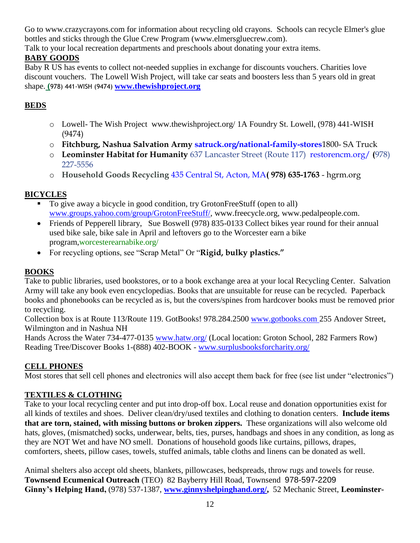Go to [www.crazycrayons.com](http://www.crazycrayons.com/) for information about recycling old crayons. Schools can recycle Elmer's glue bottles and sticks through the Glue Crew Program [\(www.elmersgluecrew.com\)](http://www.elmersgluecrew.com/).

Talk to your local recreation departments and preschools about donating your extra items.

# **BABY GOODS**

Baby R US has events to collect not-needed supplies in exchange for discounts vouchers. Charities love discount vouchers. The Lowell Wish Project, will take car seats and boosters less than 5 years old in great shape. **(**978) 441-WISH (9474) **[www.thewishproject.org](file:///H:/ReUse%20Guide%20working%20doc%202-13/www.thewishproject.org)**

# **BEDS**

- o Lowell- The Wish Project [www.thewishproject.org/](http://www.thewishproject.org/) 1A Foundry St. Lowell, (978) 441-WISH (9474)
- o **Fitchburg, Nashua Salvation Army [satruck.org/national-family-stores](http://satruck.org/national-family-stores)**1800- SA Truck
- o **Leominster Habitat for Humanity** 637 Lancaster Street (Route 117) [restorencm.org/](http://restorencm.org/) **(**978) 227-5556
- o **Household Goods Recycling** [435 Central St, Acton, MA](http://search.yahoo.com/r/_ylt=A0oG7mv67AlR4k8AzDBXNyoA;_ylu=X3oDMTBzM2VxZWlqBHNlYwNzYwRjb2xvA2FjMgR2dGlkA0RGRDVfODc-/SIG=12phafho0/EXP=1359633786/**http%3a/maps.yahoo.com/dd%3ftaddr=435%2bCentral%2bSt%26tcsz=Acton%2bMA)**( 978) 635-1763** hgrm.org

# **BICYCLES**

- To give away a bicycle in good condition, try GrotonFreeStuff (open to all) [www.groups.yahoo.com/group/GrotonFreeStuff/,](http://groups.yahoo.com/group/GrotonFreeStuff/) [www.freecycle.org,](http://www.freecycle.org/) [www.pedalpeople.com.](http://www.pedalpeople.com/)
- Friends of Pepperell library, Sue Boswell (978) 835-0133 Collect bikes year round for their annual used bike sale, bike sale in April and leftovers go to the Worcester earn a bike program[,worcesterearnabike.org/](http://click.infospace.com/ClickHandler.ashx?du=http%3a%2f%2fworcesterearnabike.org%2f&ru=http%3a%2f%2fworcesterearnabike.org%2f&ld=20130103&ap=7&app=1&c=playcityv2&s=playcityv2&coi=239137&cop=main-title&euip=74.104.31.161&npp=7&p=0&pp=0&pvaid=c498b5428ad74fc4b24f9d1f0a82ce84&ep=7&mid=9&hash=673BB1F9DEA38ECE03F5E5B9553AE4D2)
- For recycling options, see "Scrap Metal" Or "**Rigid, bulky plastics."**

# **BOOKS**

Take to public libraries, used bookstores, or to a book exchange area at your local Recycling Center. Salvation Army will take any book even encyclopedias. Books that are unsuitable for reuse can be recycled. Paperback books and phonebooks can be recycled as is, but the covers/spines from hardcover books must be removed prior to recycling.

Collection box is at Route 113/Route 119. GotBooks! 978.284.2500 [www.gotbooks.com](file:///C:/Users/Irene/Documents/MAC%20Files/FY13/2013%20TA/Guides/Nashboa/www.gotbooks.com) 255 Andover Street, Wilmington and in Nashua NH

Hands Across the Water 734-477-0135 [www.hatw.org/](http://www.hatw.org/) (Local location: Groton School, 282 Farmers Row) Reading Tree/Discover Books 1-(888) 402-BOOK - [www.surplusbooksforcharity.org/](http://www.surplusbooksforcharity.org/)

#### **CELL PHONES**

Most stores that sell cell phones and electronics will also accept them back for free (see list under "electronics")

#### **TEXTILES & CLOTHING**

Take to your local recycling center and put into drop-off box. Local reuse and donation opportunities exist for all kinds of textiles and shoes. Deliver clean/dry/used textiles and clothing to donation centers. **Include items that are torn, stained, with missing buttons or broken zippers.** These organizations will also welcome old hats, gloves, (mismatched) socks, underwear, belts, ties, purses, handbags and shoes in any condition, as long as they are NOT Wet and have NO smell. Donations of household goods like curtains, pillows, drapes, comforters, sheets, pillow cases, towels, stuffed animals, table cloths and linens can be donated as well.

Animal shelters also accept old sheets, blankets, pillowcases, bedspreads, throw rugs and towels for reuse. **Townsend Ecumenical Outreach** (TEO) 82 Bayberry Hill Road, Townsend 978-597-2209 **Ginny's Helping Hand,** (978) 537-1387, **[www.ginnyshelpinghand.org/,](http://www.ginnyshelpinghand.org/)** 52 Mechanic Street, **Leominster-**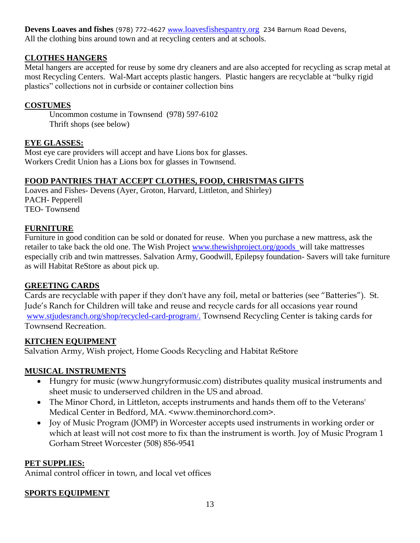**Devens Loaves and fishes** (978) 772-4627 www.[loavesfishespantry.org](http://www.loavesfishespantry.org/) 234 Barnum Road Devens, All the clothing bins around town and at recycling centers and at schools.

#### **CLOTHES HANGERS**

Metal hangers are accepted for reuse by some dry cleaners and are also accepted for recycling as scrap metal at most Recycling Centers. Wal-Mart accepts plastic hangers. Plastic hangers are recyclable at "bulky rigid plastics" collections not in curbside or container collection bins

#### **COSTUMES**

Uncommon costume in Townsend (978) 597-6102 Thrift shops (see below)

# **EYE GLASSES:**

Most eye care providers will accept and have Lions box for glasses. Workers Credit Union has a Lions box for glasses in Townsend.

# **FOOD PANTRIES THAT ACCEPT CLOTHES, FOOD, CHRISTMAS GIFTS**

Loaves and Fishes- Devens (Ayer, Groton, Harvard, Littleton, and Shirley) PACH- Pepperell TEO- Townsend

#### **FURNITURE**

Furniture in good condition can be sold or donated for reuse. When you purchase a new mattress, ask the retailer to take back the old one. The Wish Project [www.thewishproject.org/goods](http://www.thewishproject.org/goods) will take mattresses especially crib and twin mattresses. Salvation Army, Goodwill, Epilepsy foundation- Savers will take furniture as will Habitat ReStore as about pick up.

#### **GREETING CARDS**

Cards are recyclable with paper if they don't have any foil, metal or batteries (see "Batteries"). St. Jude's Ranch for Children will take and reuse and recycle cards for all occasions year round [www.stjudesranch.org/shop/recycled-card-program/.](http://www.stjudesranch.org/shop/recycled-card-program/) Townsend Recycling Center is taking cards for Townsend Recreation.

#### **KITCHEN EQUIPMENT**

Salvation Army, Wish project, Home Goods Recycling and Habitat ReStore

# **MUSICAL INSTRUMENTS**

- Hungry for music (www.hungryformusic.com) distributes quality musical instruments and sheet music to underserved children in the US and abroad.
- The Minor Chord, in Littleton, accepts instruments and hands them off to the Veterans' Medical Center in Bedford, MA. <www.theminorchord.com>.
- Joy of Music Program (JOMP) in Worcester accepts used instruments in working order or which at least will not cost more to fix than the instrument is worth. Joy of Music Program 1 Gorham Street Worcester (508) 856-9541

#### **PET SUPPLIES:**

Animal control officer in town, and local vet offices

#### **SPORTS EQUIPMENT**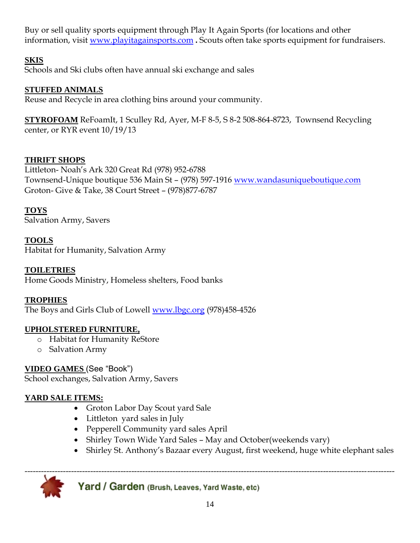Buy or sell quality sports equipment through Play It Again Sports (for locations and other information, visit [www.playitagainsports.com](http://www.playitagainsports.com/) **.** Scouts often take sports equipment for fundraisers.

# **SKIS**

Schools and Ski clubs often have annual ski exchange and sales

#### **STUFFED ANIMALS**

Reuse and Recycle in area clothing bins around your community.

**STYROFOAM** ReFoamIt, 1 Sculley Rd, Ayer, M-F 8-5, S 8-2 508-864-8723, Townsend Recycling center, or RYR event 10/19/13

# **THRIFT SHOPS**

Littleton- Noah's Ark 320 Great Rd (978) 952-6788 Townsend-Unique boutique 536 Main St – (978) 597-1916 [www.wandasuniqueboutique.com](http://www.wandasuniqueboutique.com/) Groton- Give & Take, 38 Court Street – (978)877-6787

# **TOYS**

Salvation Army, Savers

#### **TOOLS**

Habitat for Humanity, Salvation Army

#### **TOILETRIES**

Home Goods Ministry, Homeless shelters, Food banks

#### **TROPHIES**

The Boys and Girls Club of Lowell [www.lbgc.org](http://www.lbgc.org/) (978)458-4526

#### **UPHOLSTERED FURNITURE,**

- o Habitat for Humanity ReStore
- o Salvation Army

# **VIDEO GAMES** (See "Book")

School exchanges, Salvation Army, Savers

# **YARD SALE ITEMS:**

- Groton Labor Day Scout yard Sale
- Littleton yard sales in July
- Pepperell Community yard sales April
- Shirley Town Wide Yard Sales May and October(weekends vary)
- Shirley St. Anthony's Bazaar every August, first weekend, huge white elephant sales



Yard / Garden (Brush, Leaves, Yard Waste, etc)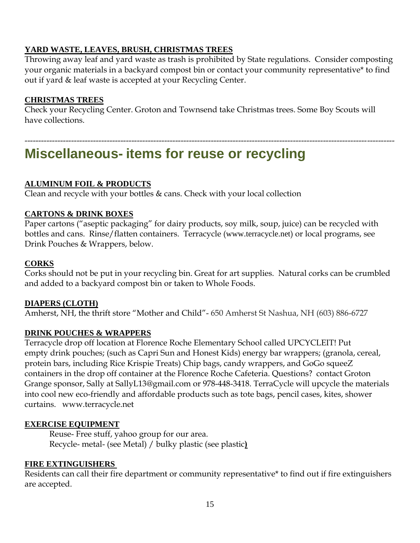#### **YARD WASTE, LEAVES, BRUSH, CHRISTMAS TREES**

Throwing away leaf and yard waste as trash is prohibited by State regulations. Consider composting your organic materials in a backyard compost bin or contact your community representative\* to find out if yard & leaf waste is accepted at your Recycling Center.

# **CHRISTMAS TREES**

Check your Recycling Center. Groton and Townsend take Christmas trees. Some Boy Scouts will have collections.

---------------------------------------------------------------------------------------------------------------------------------------

# **Miscellaneous- items for reuse or recycling**

# **ALUMINUM FOIL & PRODUCTS**

Clean and recycle with your bottles & cans. Check with your local collection

#### **CARTONS & DRINK BOXES**

Paper cartons ("aseptic packaging" for dairy products, soy milk, soup, juice) can be recycled with bottles and cans. Rinse/flatten containers. Terracycle ([www.terracycle.net](http://www.terracycle.net/)) or local programs, see Drink Pouches & Wrappers, below.

#### **CORKS**

Corks should not be put in your recycling bin. Great for art supplies. Natural corks can be crumbled and added to a backyard compost bin or taken to Whole Foods.

#### **DIAPERS (CLOTH)**

Amherst, NH, the thrift store "Mother and Child"- 650 Amherst St Nashua, NH (603) 886-6727

#### **DRINK POUCHES & WRAPPERS**

Terracycle drop off location at Florence Roche Elementary School called UPCYCLEIT! Put empty drink pouches; (such as Capri Sun and Honest Kids) energy bar wrappers; (granola, cereal, protein bars, including Rice Krispie Treats) Chip bags, candy wrappers, and GoGo squeeZ containers in the drop off container at the Florence Roche Cafeteria. Questions? contact Groton Grange sponsor, Sally at [SallyL13@gmail.com](mailto:SallyL13@gmail.com) or [978-448-3418.](tel:978-448-3418) TerraCycle will upcycle the materials into cool new eco-friendly and affordable products such as tote bags, pencil cases, kites, shower curtains. [www.terracycle.net](http://www.terracycle.net/)

#### **EXERCISE EQUIPMENT**

Reuse- Free stuff, yahoo group for our area. Recycle- metal- (see Metal) / bulky plastic (see plastic**)**

#### **FIRE EXTINGUISHERS**

Residents can call their fire department or community representative\* to find out if fire extinguishers are accepted.